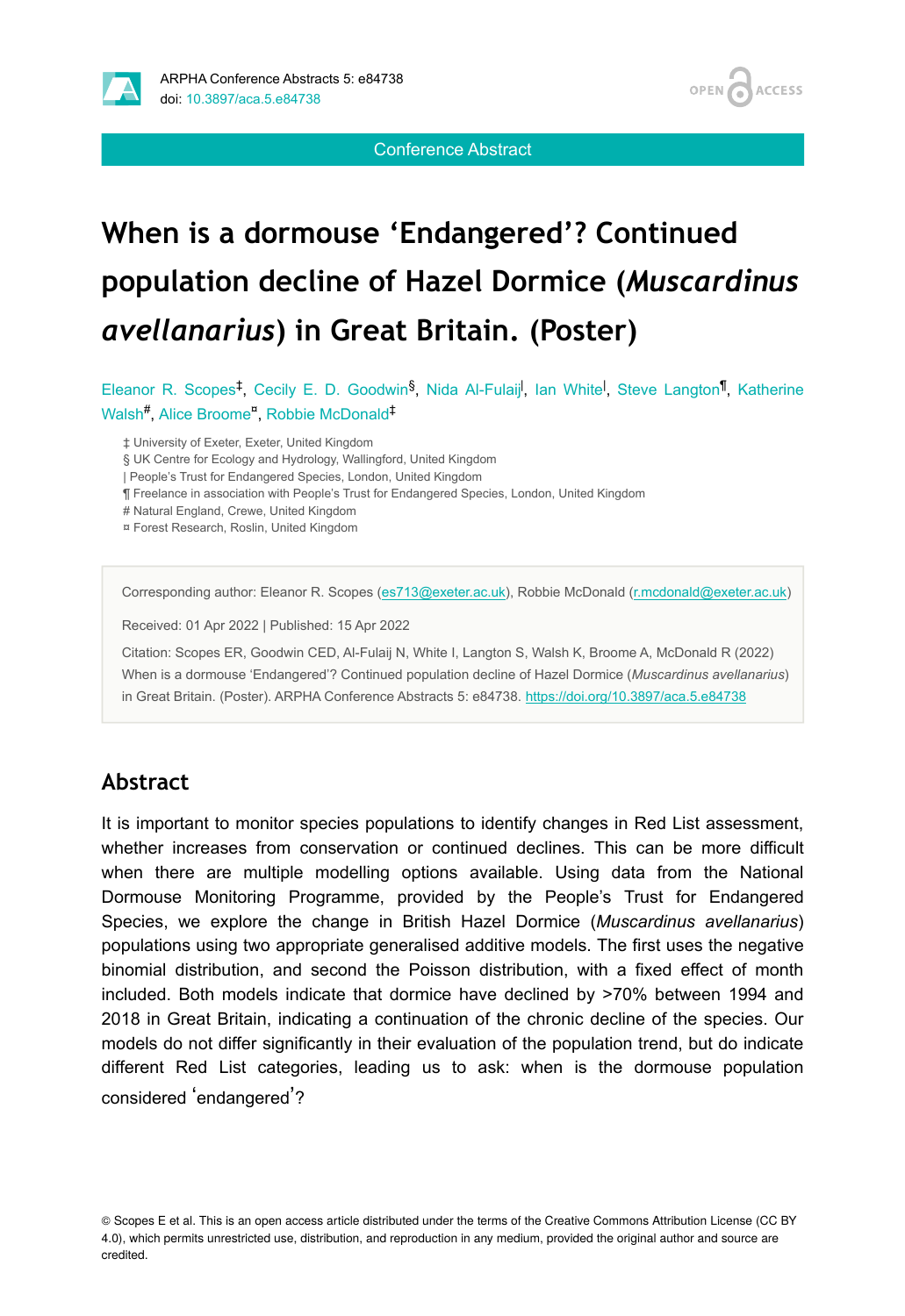

Conference Abstract

**OPEN** 

**ACCESS** 

# **When is a dormouse 'Endangered'? Continued population decline of Hazel Dormice (***Muscardinus avellanarius***) in Great Britain. (Poster)**

Eleanor R. Scopes<sup>‡</sup>, Cecily E. D. Goodwin<sup>§</sup>, Nida Al-Fulaij<sup>i</sup>, Ian White<sup>l</sup>, Steve Langton<sup>¶</sup>, Katherine Walsh<sup>#</sup>, Alice Broome<sup>¤</sup>, Robbie McDonald<sup>‡</sup>

‡ University of Exeter, Exeter, United Kingdom

§ UK Centre for Ecology and Hydrology, Wallingford, United Kingdom

| People's Trust for Endangered Species, London, United Kingdom

¶ Freelance in association with People's Trust for Endangered Species, London, United Kingdom

# Natural England, Crewe, United Kingdom

¤ Forest Research, Roslin, United Kingdom

Corresponding author: Eleanor R. Scopes [\(es713@exeter.ac.uk](mailto:es713@exeter.ac.uk)), Robbie McDonald [\(r.mcdonald@exeter.ac.uk](mailto:r.mcdonald@exeter.ac.uk))

Received: 01 Apr 2022 | Published: 15 Apr 2022

Citation: Scopes ER, Goodwin CED, Al-Fulaij N, White I, Langton S, Walsh K, Broome A, McDonald R (2022) When is a dormouse 'Endangered'? Continued population decline of Hazel Dormice (*Muscardinus avellanarius*) in Great Britain. (Poster). ARPHA Conference Abstracts 5: e84738.<https://doi.org/10.3897/aca.5.e84738>

#### **Abstract**

It is important to monitor species populations to identify changes in Red List assessment, whether increases from conservation or continued declines. This can be more difficult when there are multiple modelling options available. Using data from the National Dormouse Monitoring Programme, provided by the People's Trust for Endangered Species, we explore the change in British Hazel Dormice (*Muscardinus avellanarius*) populations using two appropriate generalised additive models. The first uses the negative binomial distribution, and second the Poisson distribution, with a fixed effect of month included. Both models indicate that dormice have declined by >70% between 1994 and 2018 in Great Britain, indicating a continuation of the chronic decline of the species. Our models do not differ significantly in their evaluation of the population trend, but do indicate different Red List categories, leading us to ask: when is the dormouse population considered 'endangered'?

© Scopes E et al. This is an open access article distributed under the terms of the Creative Commons Attribution License (CC BY 4.0), which permits unrestricted use, distribution, and reproduction in any medium, provided the original author and source are credited.